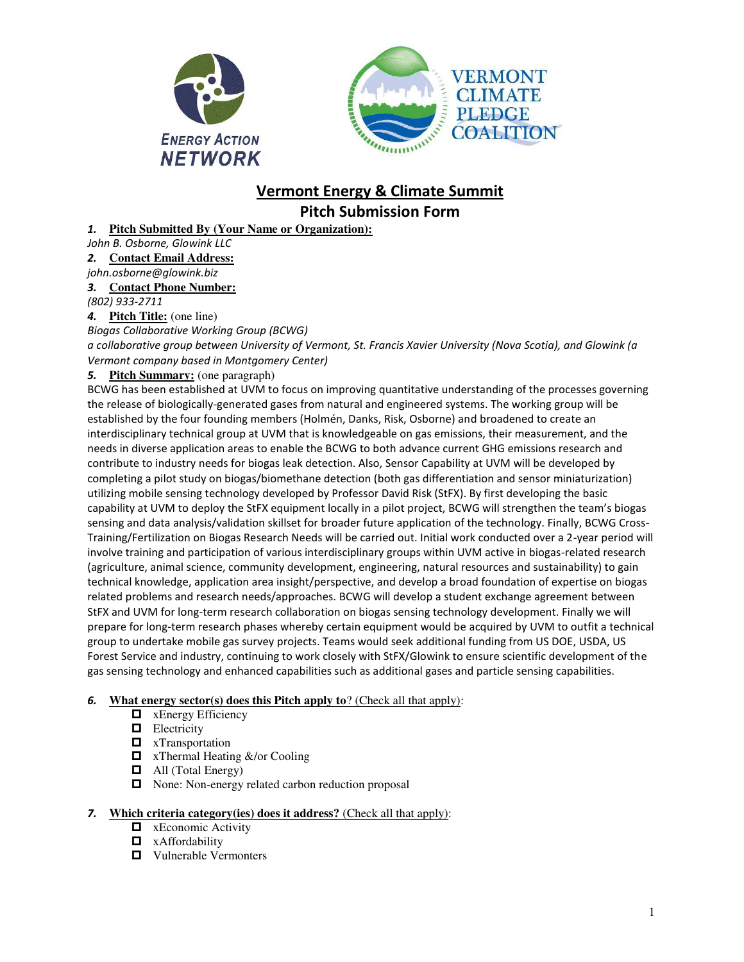



# **Vermont Energy & Climate Summit Pitch Submission Form**

### *1.* **Pitch Submitted By (Your Name or Organization):**

*John B. Osborne, Glowink LLC*

*2.* **Contact Email Address:** 

# *john.osborne@glowink.biz*

## *3.* **Contact Phone Number:**

#### *(802) 933-2711*

*4.* **Pitch Title:** (one line)

*Biogas Collaborative Working Group (BCWG)* 

*a collaborative group between University of Vermont, St. Francis Xavier University (Nova Scotia), and Glowink (a Vermont company based in Montgomery Center)* 

#### *5.* **Pitch Summary:** (one paragraph)

BCWG has been established at UVM to focus on improving quantitative understanding of the processes governing the release of biologically-generated gases from natural and engineered systems. The working group will be established by the four founding members (Holmén, Danks, Risk, Osborne) and broadened to create an interdisciplinary technical group at UVM that is knowledgeable on gas emissions, their measurement, and the needs in diverse application areas to enable the BCWG to both advance current GHG emissions research and contribute to industry needs for biogas leak detection. Also, Sensor Capability at UVM will be developed by completing a pilot study on biogas/biomethane detection (both gas differentiation and sensor miniaturization) utilizing mobile sensing technology developed by Professor David Risk (StFX). By first developing the basic capability at UVM to deploy the StFX equipment locally in a pilot project, BCWG will strengthen the team's biogas sensing and data analysis/validation skillset for broader future application of the technology. Finally, BCWG Cross-Training/Fertilization on Biogas Research Needs will be carried out. Initial work conducted over a 2-year period will involve training and participation of various interdisciplinary groups within UVM active in biogas-related research (agriculture, animal science, community development, engineering, natural resources and sustainability) to gain technical knowledge, application area insight/perspective, and develop a broad foundation of expertise on biogas related problems and research needs/approaches. BCWG will develop a student exchange agreement between StFX and UVM for long-term research collaboration on biogas sensing technology development. Finally we will prepare for long-term research phases whereby certain equipment would be acquired by UVM to outfit a technical group to undertake mobile gas survey projects. Teams would seek additional funding from US DOE, USDA, US Forest Service and industry, continuing to work closely with StFX/Glowink to ensure scientific development of the gas sensing technology and enhanced capabilities such as additional gases and particle sensing capabilities.

#### *6.* **What energy sector(s) does this Pitch apply to**? (Check all that apply):

- $\Box$  xEnergy Efficiency
- **Electricity**
- $\Box$  xTransportation
- $\Box$  xThermal Heating &/or Cooling
- $\Box$  All (Total Energy)
- □ None: Non-energy related carbon reduction proposal

#### *7.* **Which criteria category(ies) does it address?** (Check all that apply):

- $\Box$  xEconomic Activity
- $\Box$  xAffordability
- $\Box$  Vulnerable Vermonters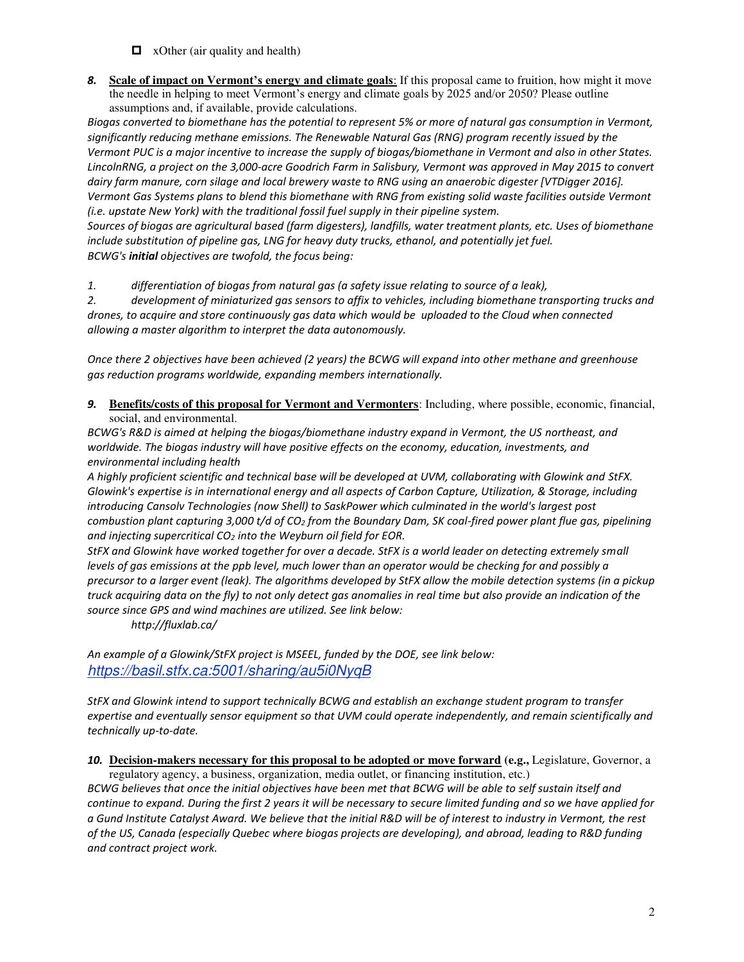- $\Box$  xOther (air quality and health)
- *8.* **Scale of impact on Vermont's energy and climate goals**: If this proposal came to fruition, how might it move the needle in helping to meet Vermont's energy and climate goals by 2025 and/or 2050? Please outline assumptions and, if available, provide calculations.

*Biogas converted to biomethane has the potential to represent 5% or more of natural gas consumption in Vermont, significantly reducing methane emissions. The Renewable Natural Gas (RNG) program recently issued by the Vermont PUC is a major incentive to increase the supply of biogas/biomethane in Vermont and also in other States. LincolnRNG, a project on the 3,000-acre Goodrich Farm in Salisbury, Vermont was approved in May 2015 to convert dairy farm manure, corn silage and local brewery waste to RNG using an anaerobic digester [VTDigger 2016]. Vermont Gas Systems plans to blend this biomethane with RNG from existing solid waste facilities outside Vermont (i.e. upstate New York) with the traditional fossil fuel supply in their pipeline system.* 

*Sources of biogas are agricultural based (farm digesters), landfills, water treatment plants, etc. Uses of biomethane include substitution of pipeline gas, LNG for heavy duty trucks, ethanol, and potentially jet fuel. BCWG's initial objectives are twofold, the focus being:* 

*1. differentiation of biogas from natural gas (a safety issue relating to source of a leak),* 

*2. development of miniaturized gas sensors to affix to vehicles, including biomethane transporting trucks and drones, to acquire and store continuously gas data which would be uploaded to the Cloud when connected allowing a master algorithm to interpret the data autonomously.* 

*Once there 2 objectives have been achieved (2 years) the BCWG will expand into other methane and greenhouse gas reduction programs worldwide, expanding members internationally.*

*9.* **Benefits/costs of this proposal for Vermont and Vermonters**: Including, where possible, economic, financial, social, and environmental.

*BCWG's R&D is aimed at helping the biogas/biomethane industry expand in Vermont, the US northeast, and worldwide. The biogas industry will have positive effects on the economy, education, investments, and environmental including health* 

*A highly proficient scientific and technical base will be developed at UVM, collaborating with Glowink and StFX. Glowink's expertise is in international energy and all aspects of Carbon Capture, Utilization, & Storage, including introducing Cansolv Technologies (now Shell) to SaskPower which culminated in the world's largest post combustion plant capturing 3,000 t/d of CO2 from the Boundary Dam, SK coal-fired power plant flue gas, pipelining and injecting supercritical CO2 into the Weyburn oil field for EOR.* 

*StFX and Glowink have worked together for over a decade. StFX is a world leader on detecting extremely small levels of gas emissions at the ppb level, much lower than an operator would be checking for and possibly a precursor to a larger event (leak). The algorithms developed by StFX allow the mobile detection systems (in a pickup truck acquiring data on the fly) to not only detect gas anomalies in real time but also provide an indication of the source since GPS and wind machines are utilized. See link below:* 

 *http://fluxlab.ca/* 

*An example of a Glowink/StFX project is MSEEL, funded by the DOE, see link below: https://basil.stfx.ca:5001/sharing/au5i0NyqB*

*StFX and Glowink intend to support technically BCWG and establish an exchange student program to transfer expertise and eventually sensor equipment so that UVM could operate independently, and remain scientifically and technically up-to-date.* 

*10.* **Decision-makers necessary for this proposal to be adopted or move forward (e.g.,** Legislature, Governor, a regulatory agency, a business, organization, media outlet, or financing institution, etc.)

*BCWG believes that once the initial objectives have been met that BCWG will be able to self sustain itself and continue to expand. During the first 2 years it will be necessary to secure limited funding and so we have applied for a Gund Institute Catalyst Award. We believe that the initial R&D will be of interest to industry in Vermont, the rest of the US, Canada (especially Quebec where biogas projects are developing), and abroad, leading to R&D funding and contract project work.*